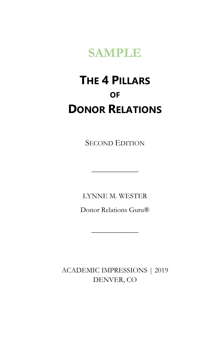

## **THE 4 PILLARS OF DONOR RELATIONS**

SECOND EDITION

 $\overline{\phantom{a}}$ 

LYNNE M. WESTER

Donor Relations Guru®

 $\overline{\phantom{a}}$ 

ACADEMIC IMPRESSIONS | 2019 DENVER, CO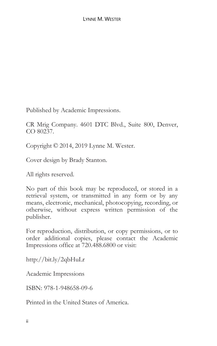Published by Academic Impressions.

CR Mrig Company. 4601 DTC Blvd., Suite 800, Denver, CO 80237.

Copyright © 2014, 2019 Lynne M. Wester.

Cover design by Brady Stanton.

All rights reserved.

No part of this book may be reproduced, or stored in a retrieval system, or transmitted in any form or by any means, electronic, mechanical, photocopying, recording, or otherwise, without express written permission of the publisher.

For reproduction, distribution, or copy permissions, or to order additional copies, please contact the Academic Impressions office at 720.488.6800 or visit:

http://bit.ly/2qbHuLr

Academic Impressions

ISBN: 978-1-948658-09-6

Printed in the United States of America.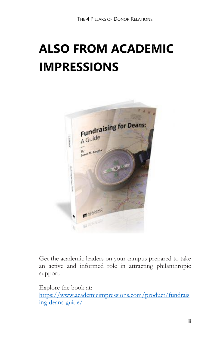# **ALSO FROM ACADEMIC IMPRESSIONS**



Get the academic leaders on your campus prepared to take an active and informed role in attracting philanthropic support.

Explore the book at: [https://www.academicimpressions.com/product/fundrais](https://www.academicimpressions.com/product/fundraising-deans-guide/) [ing-deans-guide/](https://www.academicimpressions.com/product/fundraising-deans-guide/)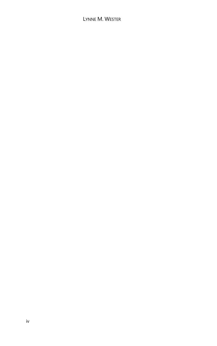#### LYNNE M. WESTER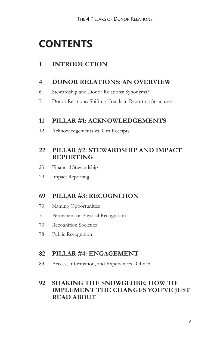## **CONTENTS**

#### **INTRODUCTION**

#### **DONOR RELATIONS: AN OVERVIEW**

- Stewardship and Donor Relations: Synonyms?
- Donor Relations: Shifting Trends in Reporting Structures

#### **PILLAR #1: ACKNOWLEDGEMENTS**

Acknowledgements vs. Gift Receipts

#### **PILLAR #2: STEWARDSHIP AND IMPACT REPORTING**

- Financial Stewardship
- Impact Reporting

#### **PILLAR #3: RECOGNITION**

- Naming Opportunities
- Permanent or Physical Recognition
- Recognition Societies
- Public Recognition

#### **PILLAR #4: ENGAGEMENT**

Access, Information, and Experiences Defined

#### **SHAKING THE SNOWGLOBE: HOW TO IMPLEMENT THE CHANGES YOU'VE JUST READ ABOUT**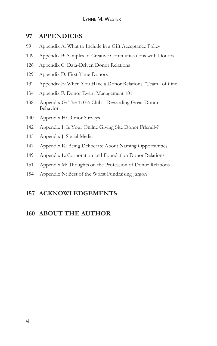#### **APPENDICES**

- Appendix A: What to Include in a Gift Acceptance Policy
- Appendix B: Samples of Creative Communications with Donors
- Appendix C: Data-Driven Donor Relations
- Appendix D: First-Time Donors
- Appendix E: When You Have a Donor Relations "Team" of One
- Appendix F: Donor Event Management 101
- Appendix G: The 110% Club—Rewarding Great Donor Behavior
- Appendix H: Donor Surveys
- Appendix I: Is Your Online Giving Site Donor Friendly?
- Appendix J: Social Media
- Appendix K: Being Deliberate About Naming Opportunities
- Appendix L: Corporation and Foundation Donor Relations
- Appendix M: Thoughts on the Profession of Donor Relations
- Appendix N: Best of the Worst Fundraising Jargon

#### **ACKNOWLEDGEMENTS**

#### **ABOUT THE AUTHOR**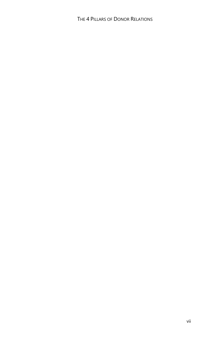#### THE 4 PILLARS OF DONOR RELATIONS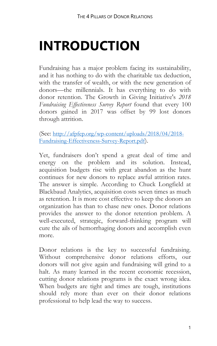# **INTRODUCTION**

Fundraising has a major problem facing its sustainability, and it has nothing to do with the charitable tax deduction, with the transfer of wealth, or with the new generation of donors—the millennials. It has everything to do with donor retention. The Growth in Giving Initiative's *2018 Fundraising Effectiveness Survey Report* found that every 100 donors gained in 2017 was offset by 99 lost donors through attrition.

(See: [http://afpfep.org/wp-content/uploads/2018/04/2018-](http://afpfep.org/wp-content/uploads/2018/04/2018-Fundraising-Effectiveness-Survey-Report.pdf) [Fundraising-Effectiveness-Survey-Report.pdf](http://afpfep.org/wp-content/uploads/2018/04/2018-Fundraising-Effectiveness-Survey-Report.pdf)).

Yet, fundraisers don't spend a great deal of time and energy on the problem and its solution. Instead, acquisition budgets rise with great abandon as the hunt continues for new donors to replace awful attrition rates. The answer is simple. According to Chuck Longfield at Blackbaud Analytics, acquisition costs seven times as much as retention. It is more cost effective to keep the donors an organization has than to chase new ones. Donor relations provides the answer to the donor retention problem. A well-executed, strategic, forward-thinking program will cure the ails of hemorrhaging donors and accomplish even more.

Donor relations is the key to successful fundraising. Without comprehensive donor relations efforts, our donors will not give again and fundraising will grind to a halt. As many learned in the recent economic recession, cutting donor relations programs is the exact wrong idea. When budgets are tight and times are tough, institutions should rely more than ever on their donor relations professional to help lead the way to success.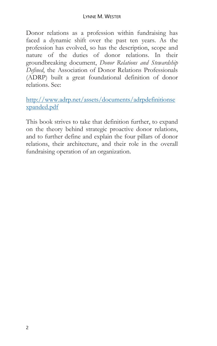Donor relations as a profession within fundraising has faced a dynamic shift over the past ten years. As the profession has evolved, so has the description, scope and nature of the duties of donor relations. In their groundbreaking document, *Donor Relations and Stewardship Defined*, the Association of Donor Relations Professionals (ADRP) built a great foundational definition of donor relations. See:

[http://www.adrp.net/assets/documents/adrpdefinitionse](http://www.adrp.net/assets/documents/adrpdefinitionsexpanded.pdf) [xpanded.pdf](http://www.adrp.net/assets/documents/adrpdefinitionsexpanded.pdf)

This book strives to take that definition further, to expand on the theory behind strategic proactive donor relations, and to further define and explain the four pillars of donor relations, their architecture, and their role in the overall fundraising operation of an organization.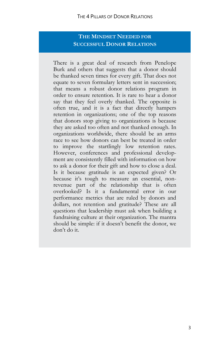#### **THE MINDSET NEEDED FOR SUCCESSFUL DONOR RELATIONS**

There is a great deal of research from Penelope Burk and others that suggests that a donor should be thanked seven times for every gift. That does not equate to seven formulary letters sent in succession; that means a robust donor relations program in order to ensure retention. It is rare to hear a donor say that they feel overly thanked. The opposite is often true, and it is a fact that directly hampers retention in organizations; one of the top reasons that donors stop giving to organizations is because they are asked too often and not thanked enough. In organizations worldwide, there should be an arms race to see how donors can best be treated in order to improve the startlingly low retention rates. However, conferences and professional development are consistently filled with information on how to ask a donor for their gift and how to close a deal. Is it because gratitude is an expected given? Or because it's tough to measure an essential, nonrevenue part of the relationship that is often overlooked? Is it a fundamental error in our performance metrics that are ruled by donors and dollars, not retention and gratitude? These are all questions that leadership must ask when building a fundraising culture at their organization. The mantra should be simple: if it doesn't benefit the donor, we don't do it.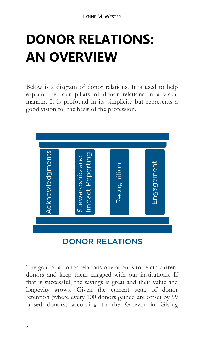# **DONOR RELATIONS: AN OVERVIEW**

Below is a diagram of donor relations. It is used to help explain the four pillars of donor relations in a visual manner. It is profound in its simplicity but represents a good vision for the basis of the profession.



### **DONOR RELATIONS**

The goal of a donor relations operation is to retain current donors and keep them engaged with our institutions. If that is successful, the savings is great and their value and longevity grows. Given the current state of donor retention (where every 100 donors gained are offset by 99 lapsed donors, according to the Growth in Giving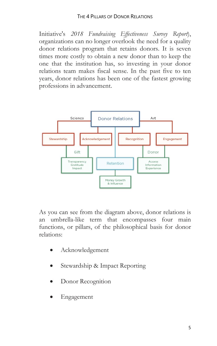Initiative's *2018 Fundraising Effectiveness Survey Report*), organizations can no longer overlook the need for a quality donor relations program that retains donors. It is seven times more costly to obtain a new donor than to keep the one that the institution has, so investing in your donor relations team makes fiscal sense. In the past five to ten years, donor relations has been one of the fastest growing professions in advancement.



As you can see from the diagram above, donor relations is an umbrella-like term that encompasses four main functions, or pillars, of the philosophical basis for donor relations:

- Acknowledgement
- Stewardship & Impact Reporting
- Donor Recognition
- **Engagement**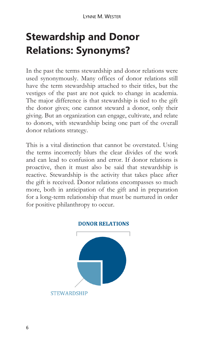## **Stewardship and Donor Relations: Synonyms?**

In the past the terms stewardship and donor relations were used synonymously. Many offices of donor relations still have the term stewardship attached to their titles, but the vestiges of the past are not quick to change in academia. The major difference is that stewardship is tied to the gift the donor gives; one cannot steward a donor, only their giving. But an organization can engage, cultivate, and relate to donors, with stewardship being one part of the overall donor relations strategy.

This is a vital distinction that cannot be overstated. Using the terms incorrectly blurs the clear divides of the work and can lead to confusion and error. If donor relations is proactive, then it must also be said that stewardship is reactive. Stewardship is the activity that takes place after the gift is received. Donor relations encompasses so much more, both in anticipation of the gift and in preparation for a long-term relationship that must be nurtured in order for positive philanthropy to occur.

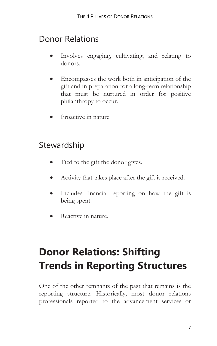### Donor Relations

- Involves engaging, cultivating, and relating to donors.
- Encompasses the work both in anticipation of the gift and in preparation for a long-term relationship that must be nurtured in order for positive philanthropy to occur.
- Proactive in nature.

### Stewardship

- Tied to the gift the donor gives.
- Activity that takes place after the gift is received.
- Includes financial reporting on how the gift is being spent.
- Reactive in nature.

## **Donor Relations: Shifting Trends in Reporting Structures**

One of the other remnants of the past that remains is the reporting structure. Historically, most donor relations professionals reported to the advancement services or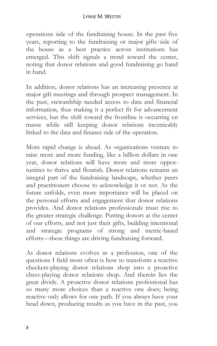operations side of the fundraising house. In the past five years, reporting to the fundraising or major gifts side of the house as a best practice across institutions has emerged. This shift signals a trend toward the center, noting that donor relations and good fundraising go hand in hand.

In addition, donor relations has an increasing presence at major gift meetings and through prospect management. In the past, stewardship needed access to data and financial information, thus making it a perfect fit for advancement services, but the shift toward the frontline is occurring en masse while still keeping donor relations inextricably linked to the data and finance side of the operation.

More rapid change is ahead. As organizations venture to raise more and more funding, like a billion dollars in one year, donor relations will have more and more opportunities to thrive and flourish. Donor relations remains an integral part of the fundraising landscape, whether peers and practitioners choose to acknowledge it or not. As the future unfolds, even more importance will be placed on the personal efforts and engagement that donor relations provides. And donor relations professionals must rise to the greater strategic challenge. Putting donors at the center of our efforts, and not just their gifts, building intentional and strategic programs of strong and metric-based efforts—these things are driving fundraising forward.

As donor relations evolves as a profession, one of the questions I field most often is how to transform a reactive checkers-playing donor relations shop into a proactive chess-playing donor relations shop. And therein lies the great divide. A proactive donor relations professional has so many more choices than a reactive one does; being reactive only allows for one path. If you always have your head down, producing results as you have in the past, you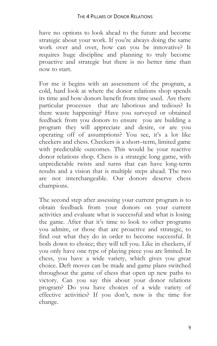have no options to look ahead to the future and become strategic about your work. If you're always doing the same work over and over, how can you be innovative? It requires huge discipline and planning to truly become proactive and strategic but there is no better time than now to start.

For me it begins with an assessment of the program, a cold, hard look at where the donor relations shop spends its time and how donors benefit from time used. Are there particular processes that are laborious and tedious? Is there waste happening? Have you surveyed or obtained feedback from you donors to ensure you are building a program they will appreciate and desire, or are you operating off of assumptions? You see, it's a lot like checkers and chess. Checkers is a short–term, limited game with predictable outcomes. This would be your reactive donor relations shop. Chess is a strategic long game, with unpredictable twists and turns that can have long-term results and a vision that is multiple steps ahead. The two are not interchangeable. Our donors deserve chess champions.

The second step after assessing your current program is to obtain feedback from your donors on your current activities and evaluate what is successful and what is losing the game. After that it's time to look to other programs you admire, or those that are proactive and strategic, to find out what they do in order to become successful. It boils down to choice; they will tell you. Like in checkers, if you only have one type of playing piece you are limited. In chess, you have a wide variety, which gives you great choice. Deft moves can be made and game plans switched throughout the game of chess that open up new paths to victory. Can you say this about your donor relations program? Do you have choices of a wide variety of effective activities? If you don't, now is the time for change.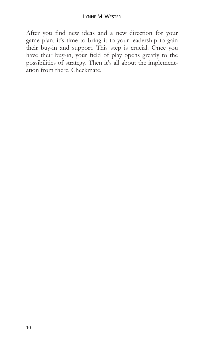After you find new ideas and a new direction for your game plan, it's time to bring it to your leadership to gain their buy-in and support. This step is crucial. Once you have their buy-in, your field of play opens greatly to the possibilities of strategy. Then it's all about the implementation from there. Checkmate.